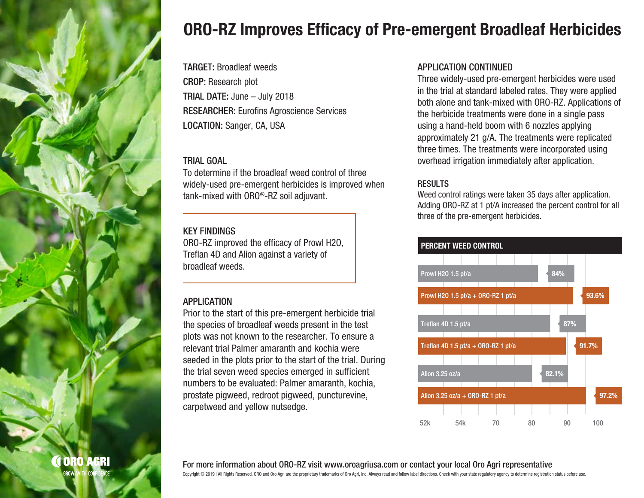

# ORO-RZ Improves Efficacy of Pre-emergent Broadleaf Herbicides

TARGET: Broadleaf weeds CROP: Research plot TRIAL DATE: June – July 2018 RESEARCHER: Eurofins Agroscience Services LOCATION: Sanger, CA, USA

#### TRIAL GOAL

To determine if the broadleaf weed control of three widely-used pre-emergent herbicides is improved when tank-mixed with ORO®-RZ soil adjuvant.

### KEY FINDINGS

ORO-RZ improved the efficacy of Prowl H2O, Treflan 4D and Alion against a variety of broadleaf weeds.

# **APPLICATION**

Prior to the start of this pre-emergent herbicide trial the species of broadleaf weeds present in the test plots was not known to the researcher. To ensure a relevant trial Palmer amaranth and kochia were seeded in the plots prior to the start of the trial. During the trial seven weed species emerged in sufficient numbers to be evaluated: Palmer amaranth, kochia, prostate pigweed, redroot pigweed, puncturevine, carpetweed and yellow nutsedge.

### APPLICATION CONTINUED

Three widely-used pre-emergent herbicides were used in the trial at standard labeled rates. They were applied both alone and tank-mixed with ORO-RZ. Applications of the herbicide treatments were done in a single pass using a hand-held boom with 6 nozzles applying approximately 21 g/A. The treatments were replicated three times. The treatments were incorporated using overhead irrigation immediately after application.

# **RESULTS**

Weed control ratings were taken 35 days after application. Adding ORO-RZ at 1 pt/A increased the percent control for all three of the pre-emergent herbicides.



For more information about ORO-RZ visit www.oroagriusa.com or contact your local Oro Agri representative

Copyright © 2019 I All Rights Reserved. ORO and Oro Agri are the proprietary trademarks of Oro Agri, Inc. Always read and follow label directions. Check with your state regulatory agency to determine registration status be